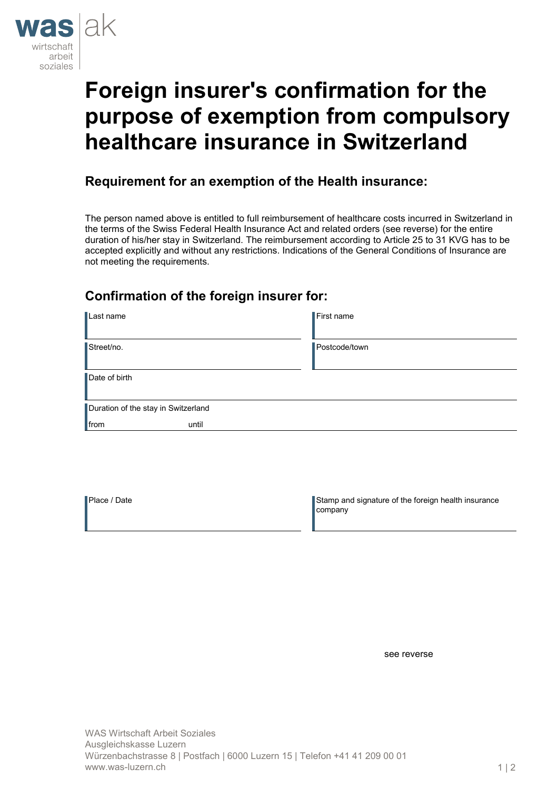

# **Foreign insurer's confirmation for the purpose of exemption from compulsory healthcare insurance in Switzerland**

## **Requirement for an exemption of the Health insurance:**

The person named above is entitled to full reimbursement of healthcare costs incurred in Switzerland in the terms of the Swiss Federal Health Insurance Act and related orders (see reverse) for the entire duration of his/her stay in Switzerland. The reimbursement according to Article 25 to 31 KVG has to be accepted explicitly and without any restrictions. Indications of the General Conditions of Insurance are not meeting the requirements.

## **Confirmation of the foreign insurer for:**

| Last name                           | $\blacksquare$ First name |
|-------------------------------------|---------------------------|
| Street/no.                          | Postcode/town             |
| Date of birth                       |                           |
| Duration of the stay in Switzerland |                           |
| $\blacksquare$ from<br>until        |                           |

Place / Date Stamp and signature of the foreign health insurance company

see reverse